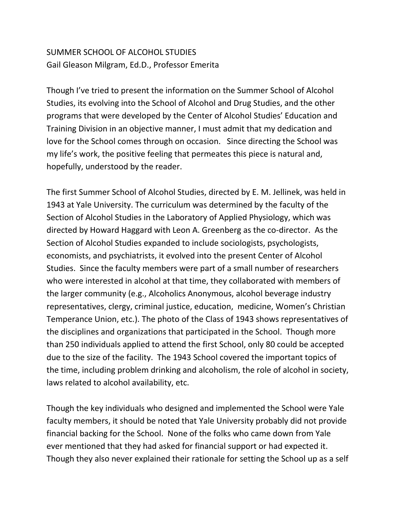# SUMMER SCHOOL OF ALCOHOL STUDIES Gail Gleason Milgram, Ed.D., Professor Emerita

Though I've tried to present the information on the Summer School of Alcohol Studies, its evolving into the School of Alcohol and Drug Studies, and the other programs that were developed by the Center of Alcohol Studies' Education and Training Division in an objective manner, I must admit that my dedication and love for the School comes through on occasion. Since directing the School was my life's work, the positive feeling that permeates this piece is natural and, hopefully, understood by the reader.

The first Summer School of Alcohol Studies, directed by E. M. Jellinek, was held in 1943 at Yale University. The curriculum was determined by the faculty of the Section of Alcohol Studies in the Laboratory of Applied Physiology, which was directed by Howard Haggard with Leon A. Greenberg as the co-director. As the Section of Alcohol Studies expanded to include sociologists, psychologists, economists, and psychiatrists, it evolved into the present Center of Alcohol Studies. Since the faculty members were part of a small number of researchers who were interested in alcohol at that time, they collaborated with members of the larger community (e.g., Alcoholics Anonymous, alcohol beverage industry representatives, clergy, criminal justice, education, medicine, Women's Christian Temperance Union, etc.). The photo of the Class of 1943 shows representatives of the disciplines and organizations that participated in the School. Though more than 250 individuals applied to attend the first School, only 80 could be accepted due to the size of the facility. The 1943 School covered the important topics of the time, including problem drinking and alcoholism, the role of alcohol in society, laws related to alcohol availability, etc.

Though the key individuals who designed and implemented the School were Yale faculty members, it should be noted that Yale University probably did not provide financial backing for the School. None of the folks who came down from Yale ever mentioned that they had asked for financial support or had expected it. Though they also never explained their rationale for setting the School up as a self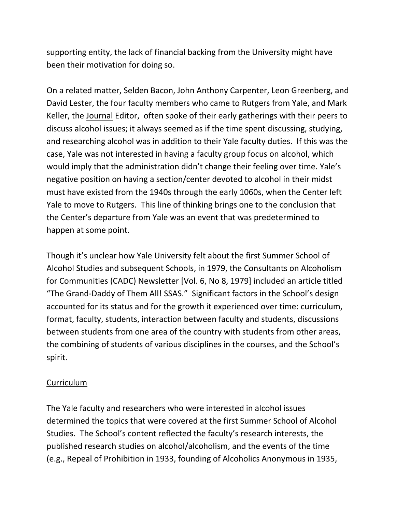supporting entity, the lack of financial backing from the University might have been their motivation for doing so.

On a related matter, Selden Bacon, John Anthony Carpenter, Leon Greenberg, and David Lester, the four faculty members who came to Rutgers from Yale, and Mark Keller, the Journal Editor, often spoke of their early gatherings with their peers to discuss alcohol issues; it always seemed as if the time spent discussing, studying, and researching alcohol was in addition to their Yale faculty duties. If this was the case, Yale was not interested in having a faculty group focus on alcohol, which would imply that the administration didn't change their feeling over time. Yale's negative position on having a section/center devoted to alcohol in their midst must have existed from the 1940s through the early 1060s, when the Center left Yale to move to Rutgers. This line of thinking brings one to the conclusion that the Center's departure from Yale was an event that was predetermined to happen at some point.

Though it's unclear how Yale University felt about the first Summer School of Alcohol Studies and subsequent Schools, in 1979, the Consultants on Alcoholism for Communities (CADC) Newsletter [Vol. 6, No 8, 1979] included an article titled "The Grand-Daddy of Them All! SSAS." Significant factors in the School's design accounted for its status and for the growth it experienced over time: curriculum, format, faculty, students, interaction between faculty and students, discussions between students from one area of the country with students from other areas, the combining of students of various disciplines in the courses, and the School's spirit.

## Curriculum

The Yale faculty and researchers who were interested in alcohol issues determined the topics that were covered at the first Summer School of Alcohol Studies. The School's content reflected the faculty's research interests, the published research studies on alcohol/alcoholism, and the events of the time (e.g., Repeal of Prohibition in 1933, founding of Alcoholics Anonymous in 1935,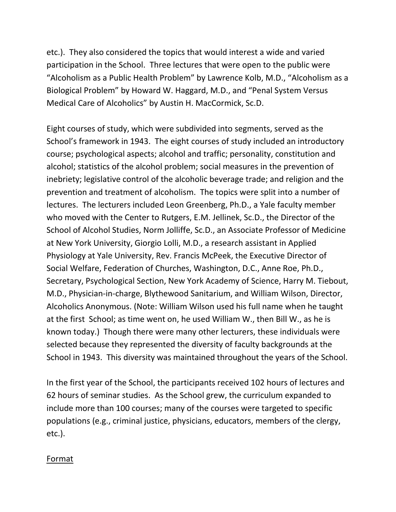etc.). They also considered the topics that would interest a wide and varied participation in the School. Three lectures that were open to the public were "Alcoholism as a Public Health Problem" by Lawrence Kolb, M.D., "Alcoholism as a Biological Problem" by Howard W. Haggard, M.D., and "Penal System Versus Medical Care of Alcoholics" by Austin H. MacCormick, Sc.D.

Eight courses of study, which were subdivided into segments, served as the School's framework in 1943. The eight courses of study included an introductory course; psychological aspects; alcohol and traffic; personality, constitution and alcohol; statistics of the alcohol problem; social measures in the prevention of inebriety; legislative control of the alcoholic beverage trade; and religion and the prevention and treatment of alcoholism. The topics were split into a number of lectures. The lecturers included Leon Greenberg, Ph.D., a Yale faculty member who moved with the Center to Rutgers, E.M. Jellinek, Sc.D., the Director of the School of Alcohol Studies, Norm Jolliffe, Sc.D., an Associate Professor of Medicine at New York University, Giorgio Lolli, M.D., a research assistant in Applied Physiology at Yale University, Rev. Francis McPeek, the Executive Director of Social Welfare, Federation of Churches, Washington, D.C., Anne Roe, Ph.D., Secretary, Psychological Section, New York Academy of Science, Harry M. Tiebout, M.D., Physician-in-charge, Blythewood Sanitarium, and William Wilson, Director, Alcoholics Anonymous. (Note: William Wilson used his full name when he taught at the first School; as time went on, he used William W., then Bill W., as he is known today.) Though there were many other lecturers, these individuals were selected because they represented the diversity of faculty backgrounds at the School in 1943. This diversity was maintained throughout the years of the School.

In the first year of the School, the participants received 102 hours of lectures and 62 hours of seminar studies. As the School grew, the curriculum expanded to include more than 100 courses; many of the courses were targeted to specific populations (e.g., criminal justice, physicians, educators, members of the clergy, etc.).

#### Format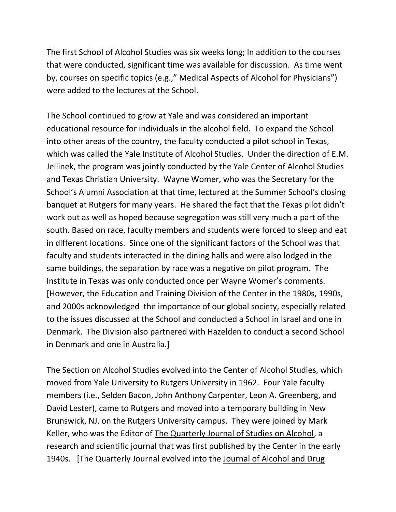The first School of Alcohol Studies was six weeks long; In addition to the courses that were conducted, significant time was available for discussion. As time went by, courses on specific topics (e.g.," Medical Aspects of Alcohol for Physicians") were added to the lectures at the School.

The School continued to grow at Yale and was considered an important educational resource for individuals in the alcohol field. To expand the School into other areas of the country, the faculty conducted a pilot school in Texas, which was called the Yale Institute of Alcohol Studies. Under the direction of E.M. Jellinek, the program was jointly conducted by the Yale Center of Alcohol Studies and Texas Christian University. Wayne Womer, who was the Secretary for the School's Alumni Association at that time, lectured at the Summer School's closing banquet at Rutgers for many years. He shared the fact that the Texas pilot didn't work out as well as hoped because segregation was still very much a part of the south. Based on race, faculty members and students were forced to sleep and eat in different locations. Since one of the significant factors of the School was that faculty and students interacted in the dining halls and were also lodged in the same buildings, the separation by race was a negative on pilot program. The Institute in Texas was only conducted once per Wayne Womer's comments. [However, the Education and Training Division of the Center in the 1980s, 1990s, and 2000s acknowledged the importance of our global society, especially related to the issues discussed at the School and conducted a School in Israel and one in Denmark. The Division also partnered with Hazelden to conduct a second School in Denmark and one in Australia.]

The Section on Alcohol Studies evolved into the Center of Alcohol Studies, which moved from Yale University to Rutgers University in 1962. Four Yale faculty members (i.e., Selden Bacon, John Anthony Carpenter, Leon A. Greenberg, and David Lester), came to Rutgers and moved into a temporary building in New Brunswick, NJ, on the Rutgers University campus. They were joined by Mark Keller, who was the Editor of The Quarterly Journal of Studies on Alcohol, a research and scientific journal that was first published by the Center in the early 1940s. [The Quarterly Journal evolved into the Journal of Alcohol and Drug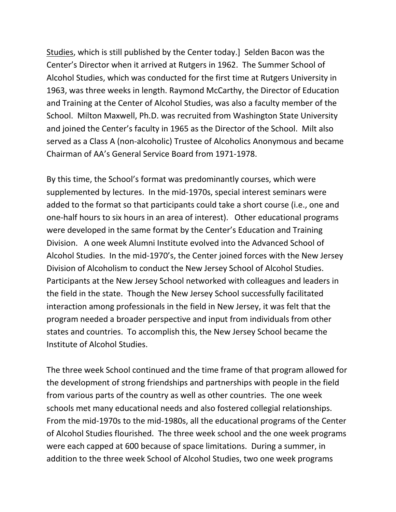Studies, which is still published by the Center today.] Selden Bacon was the Center's Director when it arrived at Rutgers in 1962. The Summer School of Alcohol Studies, which was conducted for the first time at Rutgers University in 1963, was three weeks in length. Raymond McCarthy, the Director of Education and Training at the Center of Alcohol Studies, was also a faculty member of the School. Milton Maxwell, Ph.D. was recruited from Washington State University and joined the Center's faculty in 1965 as the Director of the School. Milt also served as a Class A (non-alcoholic) Trustee of Alcoholics Anonymous and became Chairman of AA's General Service Board from 1971-1978.

By this time, the School's format was predominantly courses, which were supplemented by lectures. In the mid-1970s, special interest seminars were added to the format so that participants could take a short course (i.e., one and one-half hours to six hours in an area of interest). Other educational programs were developed in the same format by the Center's Education and Training Division. A one week Alumni Institute evolved into the Advanced School of Alcohol Studies. In the mid-1970's, the Center joined forces with the New Jersey Division of Alcoholism to conduct the New Jersey School of Alcohol Studies. Participants at the New Jersey School networked with colleagues and leaders in the field in the state. Though the New Jersey School successfully facilitated interaction among professionals in the field in New Jersey, it was felt that the program needed a broader perspective and input from individuals from other states and countries. To accomplish this, the New Jersey School became the Institute of Alcohol Studies.

The three week School continued and the time frame of that program allowed for the development of strong friendships and partnerships with people in the field from various parts of the country as well as other countries. The one week schools met many educational needs and also fostered collegial relationships. From the mid-1970s to the mid-1980s, all the educational programs of the Center of Alcohol Studies flourished. The three week school and the one week programs were each capped at 600 because of space limitations. During a summer, in addition to the three week School of Alcohol Studies, two one week programs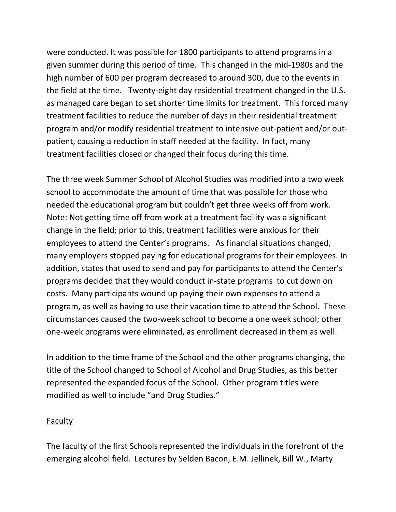were conducted. It was possible for 1800 participants to attend programs in a given summer during this period of time. This changed in the mid-1980s and the high number of 600 per program decreased to around 300, due to the events in the field at the time. Twenty-eight day residential treatment changed in the U.S. as managed care began to set shorter time limits for treatment. This forced many treatment facilities to reduce the number of days in their residential treatment program and/or modify residential treatment to intensive out-patient and/or outpatient, causing a reduction in staff needed at the facility. In fact, many treatment facilities closed or changed their focus during this time.

The three week Summer School of Alcohol Studies was modified into a two week school to accommodate the amount of time that was possible for those who needed the educational program but couldn't get three weeks off from work. Note: Not getting time off from work at a treatment facility was a significant change in the field; prior to this, treatment facilities were anxious for their employees to attend the Center's programs. As financial situations changed, many employers stopped paying for educational programs for their employees. In addition, states that used to send and pay for participants to attend the Center's programs decided that they would conduct in-state programs to cut down on costs. Many participants wound up paying their own expenses to attend a program, as well as having to use their vacation time to attend the School. These circumstances caused the two-week school to become a one week school; other one-week programs were eliminated, as enrollment decreased in them as well.

In addition to the time frame of the School and the other programs changing, the title of the School changed to School of Alcohol and Drug Studies, as this better represented the expanded focus of the School. Other program titles were modified as well to include "and Drug Studies."

#### Faculty

The faculty of the first Schools represented the individuals in the forefront of the emerging alcohol field. Lectures by Selden Bacon, E.M. Jellinek, Bill W., Marty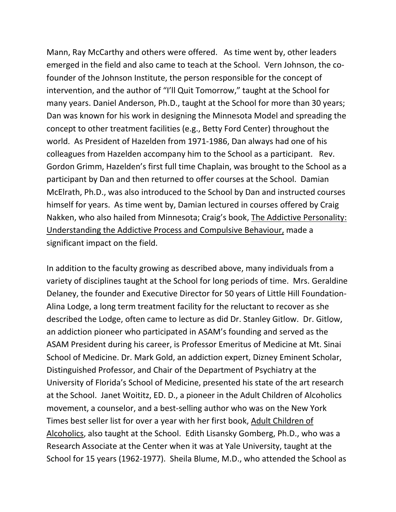Mann, Ray McCarthy and others were offered. As time went by, other leaders emerged in the field and also came to teach at the School. Vern Johnson, the cofounder of the Johnson Institute, the person responsible for the concept of intervention, and the author of "I'll Quit Tomorrow," taught at the School for many years. Daniel Anderson, Ph.D., taught at the School for more than 30 years; Dan was known for his work in designing the Minnesota Model and spreading the concept to other treatment facilities (e.g., Betty Ford Center) throughout the world. As President of Hazelden from 1971-1986, Dan always had one of his colleagues from Hazelden accompany him to the School as a participant. Rev. Gordon Grimm, Hazelden's first full time Chaplain, was brought to the School as a participant by Dan and then returned to offer courses at the School. Damian McElrath, Ph.D., was also introduced to the School by Dan and instructed courses himself for years. As time went by, Damian lectured in courses offered by Craig Nakken, who also hailed from Minnesota; Craig's book, The Addictive Personality: Understanding the Addictive Process and Compulsive Behaviour, made a significant impact on the field.

In addition to the faculty growing as described above, many individuals from a variety of disciplines taught at the School for long periods of time. Mrs. Geraldine Delaney, the founder and Executive Director for 50 years of Little Hill Foundation-Alina Lodge, a long term treatment facility for the reluctant to recover as she described the Lodge, often came to lecture as did Dr. Stanley Gitlow. Dr. Gitlow, an addiction pioneer who participated in ASAM's founding and served as the ASAM President during his career, is Professor Emeritus of Medicine at Mt. Sinai School of Medicine. Dr. Mark Gold, an addiction expert, Dizney Eminent Scholar, Distinguished Professor, and Chair of the Department of Psychiatry at the University of Florida's School of Medicine, presented his state of the art research at the School. Janet Woititz, ED. D., a pioneer in the Adult Children of Alcoholics movement, a counselor, and a best-selling author who was on the New York Times best seller list for over a year with her first book, Adult Children of Alcoholics, also taught at the School. Edith Lisansky Gomberg, Ph.D., who was a Research Associate at the Center when it was at Yale University, taught at the School for 15 years (1962-1977). Sheila Blume, M.D., who attended the School as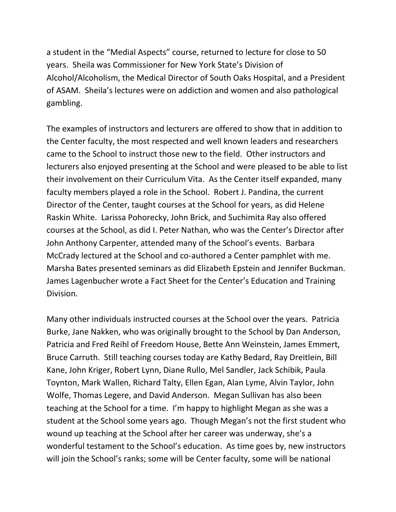a student in the "Medial Aspects" course, returned to lecture for close to 50 years. Sheila was Commissioner for New York State's Division of Alcohol/Alcoholism, the Medical Director of South Oaks Hospital, and a President of ASAM. Sheila's lectures were on addiction and women and also pathological gambling.

The examples of instructors and lecturers are offered to show that in addition to the Center faculty, the most respected and well known leaders and researchers came to the School to instruct those new to the field. Other instructors and lecturers also enjoyed presenting at the School and were pleased to be able to list their involvement on their Curriculum Vita. As the Center itself expanded, many faculty members played a role in the School. Robert J. Pandina, the current Director of the Center, taught courses at the School for years, as did Helene Raskin White. Larissa Pohorecky, John Brick, and Suchimita Ray also offered courses at the School, as did I. Peter Nathan, who was the Center's Director after John Anthony Carpenter, attended many of the School's events. Barbara McCrady lectured at the School and co-authored a Center pamphlet with me. Marsha Bates presented seminars as did Elizabeth Epstein and Jennifer Buckman. James Lagenbucher wrote a Fact Sheet for the Center's Education and Training Division.

Many other individuals instructed courses at the School over the years. Patricia Burke, Jane Nakken, who was originally brought to the School by Dan Anderson, Patricia and Fred Reihl of Freedom House, Bette Ann Weinstein, James Emmert, Bruce Carruth. Still teaching courses today are Kathy Bedard, Ray Dreitlein, Bill Kane, John Kriger, Robert Lynn, Diane Rullo, Mel Sandler, Jack Schibik, Paula Toynton, Mark Wallen, Richard Talty, Ellen Egan, Alan Lyme, Alvin Taylor, John Wolfe, Thomas Legere, and David Anderson. Megan Sullivan has also been teaching at the School for a time. I'm happy to highlight Megan as she was a student at the School some years ago. Though Megan's not the first student who wound up teaching at the School after her career was underway, she's a wonderful testament to the School's education. As time goes by, new instructors will join the School's ranks; some will be Center faculty, some will be national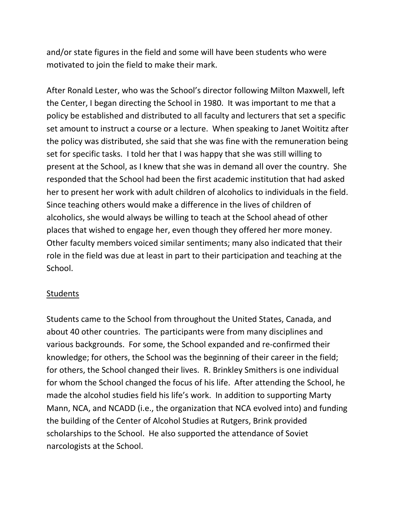and/or state figures in the field and some will have been students who were motivated to join the field to make their mark.

After Ronald Lester, who was the School's director following Milton Maxwell, left the Center, I began directing the School in 1980. It was important to me that a policy be established and distributed to all faculty and lecturers that set a specific set amount to instruct a course or a lecture. When speaking to Janet Woititz after the policy was distributed, she said that she was fine with the remuneration being set for specific tasks. I told her that I was happy that she was still willing to present at the School, as I knew that she was in demand all over the country. She responded that the School had been the first academic institution that had asked her to present her work with adult children of alcoholics to individuals in the field. Since teaching others would make a difference in the lives of children of alcoholics, she would always be willing to teach at the School ahead of other places that wished to engage her, even though they offered her more money. Other faculty members voiced similar sentiments; many also indicated that their role in the field was due at least in part to their participation and teaching at the School.

#### **Students**

Students came to the School from throughout the United States, Canada, and about 40 other countries. The participants were from many disciplines and various backgrounds. For some, the School expanded and re-confirmed their knowledge; for others, the School was the beginning of their career in the field; for others, the School changed their lives. R. Brinkley Smithers is one individual for whom the School changed the focus of his life. After attending the School, he made the alcohol studies field his life's work. In addition to supporting Marty Mann, NCA, and NCADD (i.e., the organization that NCA evolved into) and funding the building of the Center of Alcohol Studies at Rutgers, Brink provided scholarships to the School. He also supported the attendance of Soviet narcologists at the School.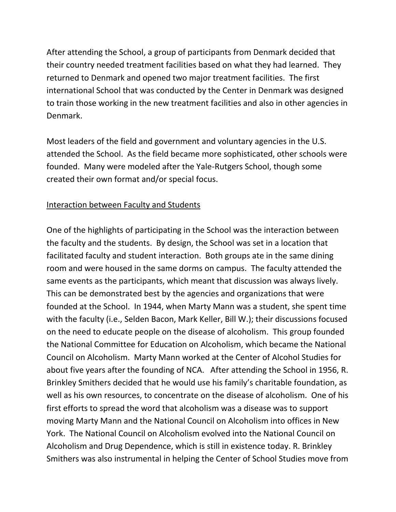After attending the School, a group of participants from Denmark decided that their country needed treatment facilities based on what they had learned. They returned to Denmark and opened two major treatment facilities. The first international School that was conducted by the Center in Denmark was designed to train those working in the new treatment facilities and also in other agencies in Denmark.

Most leaders of the field and government and voluntary agencies in the U.S. attended the School. As the field became more sophisticated, other schools were founded. Many were modeled after the Yale-Rutgers School, though some created their own format and/or special focus.

## Interaction between Faculty and Students

One of the highlights of participating in the School was the interaction between the faculty and the students. By design, the School was set in a location that facilitated faculty and student interaction. Both groups ate in the same dining room and were housed in the same dorms on campus. The faculty attended the same events as the participants, which meant that discussion was always lively. This can be demonstrated best by the agencies and organizations that were founded at the School. In 1944, when Marty Mann was a student, she spent time with the faculty (i.e., Selden Bacon, Mark Keller, Bill W.); their discussions focused on the need to educate people on the disease of alcoholism. This group founded the National Committee for Education on Alcoholism, which became the National Council on Alcoholism. Marty Mann worked at the Center of Alcohol Studies for about five years after the founding of NCA. After attending the School in 1956, R. Brinkley Smithers decided that he would use his family's charitable foundation, as well as his own resources, to concentrate on the disease of alcoholism. One of his first efforts to spread the word that alcoholism was a disease was to support moving Marty Mann and the National Council on Alcoholism into offices in New York. The National Council on Alcoholism evolved into the National Council on Alcoholism and Drug Dependence, which is still in existence today. R. Brinkley Smithers was also instrumental in helping the Center of School Studies move from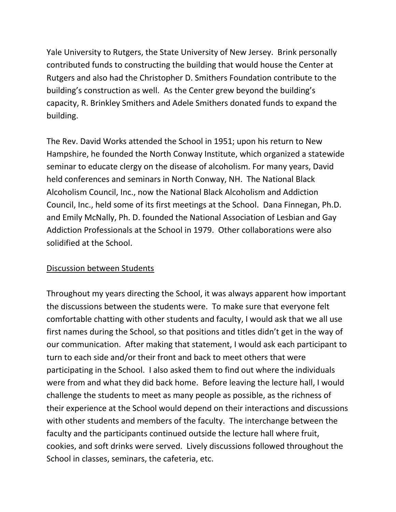Yale University to Rutgers, the State University of New Jersey. Brink personally contributed funds to constructing the building that would house the Center at Rutgers and also had the Christopher D. Smithers Foundation contribute to the building's construction as well. As the Center grew beyond the building's capacity, R. Brinkley Smithers and Adele Smithers donated funds to expand the building.

The Rev. David Works attended the School in 1951; upon his return to New Hampshire, he founded the North Conway Institute, which organized a statewide seminar to educate clergy on the disease of alcoholism. For many years, David held conferences and seminars in North Conway, NH. The National Black Alcoholism Council, Inc., now the National Black Alcoholism and Addiction Council, Inc., held some of its first meetings at the School. Dana Finnegan, Ph.D. and Emily McNally, Ph. D. founded the National Association of Lesbian and Gay Addiction Professionals at the School in 1979. Other collaborations were also solidified at the School.

### Discussion between Students

Throughout my years directing the School, it was always apparent how important the discussions between the students were. To make sure that everyone felt comfortable chatting with other students and faculty, I would ask that we all use first names during the School, so that positions and titles didn't get in the way of our communication. After making that statement, I would ask each participant to turn to each side and/or their front and back to meet others that were participating in the School. I also asked them to find out where the individuals were from and what they did back home. Before leaving the lecture hall, I would challenge the students to meet as many people as possible, as the richness of their experience at the School would depend on their interactions and discussions with other students and members of the faculty. The interchange between the faculty and the participants continued outside the lecture hall where fruit, cookies, and soft drinks were served. Lively discussions followed throughout the School in classes, seminars, the cafeteria, etc.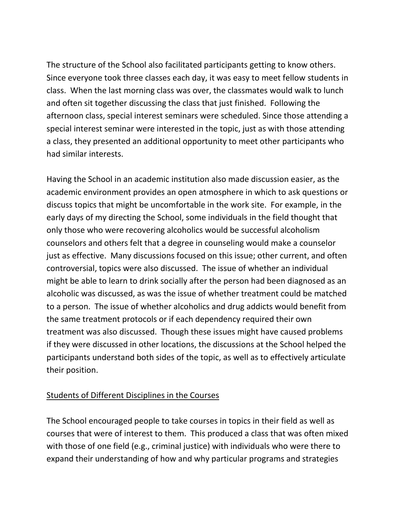The structure of the School also facilitated participants getting to know others. Since everyone took three classes each day, it was easy to meet fellow students in class. When the last morning class was over, the classmates would walk to lunch and often sit together discussing the class that just finished. Following the afternoon class, special interest seminars were scheduled. Since those attending a special interest seminar were interested in the topic, just as with those attending a class, they presented an additional opportunity to meet other participants who had similar interests.

Having the School in an academic institution also made discussion easier, as the academic environment provides an open atmosphere in which to ask questions or discuss topics that might be uncomfortable in the work site. For example, in the early days of my directing the School, some individuals in the field thought that only those who were recovering alcoholics would be successful alcoholism counselors and others felt that a degree in counseling would make a counselor just as effective. Many discussions focused on this issue; other current, and often controversial, topics were also discussed. The issue of whether an individual might be able to learn to drink socially after the person had been diagnosed as an alcoholic was discussed, as was the issue of whether treatment could be matched to a person. The issue of whether alcoholics and drug addicts would benefit from the same treatment protocols or if each dependency required their own treatment was also discussed. Though these issues might have caused problems if they were discussed in other locations, the discussions at the School helped the participants understand both sides of the topic, as well as to effectively articulate their position.

### Students of Different Disciplines in the Courses

The School encouraged people to take courses in topics in their field as well as courses that were of interest to them. This produced a class that was often mixed with those of one field (e.g., criminal justice) with individuals who were there to expand their understanding of how and why particular programs and strategies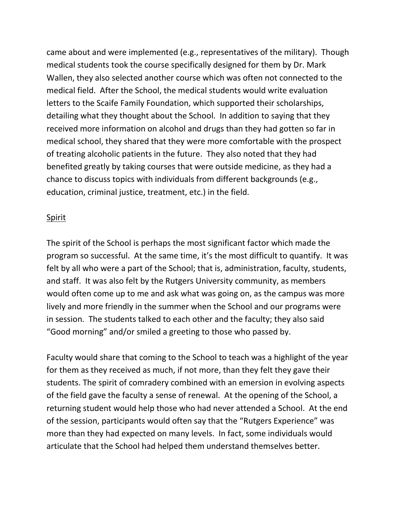came about and were implemented (e.g., representatives of the military). Though medical students took the course specifically designed for them by Dr. Mark Wallen, they also selected another course which was often not connected to the medical field. After the School, the medical students would write evaluation letters to the Scaife Family Foundation, which supported their scholarships, detailing what they thought about the School. In addition to saying that they received more information on alcohol and drugs than they had gotten so far in medical school, they shared that they were more comfortable with the prospect of treating alcoholic patients in the future. They also noted that they had benefited greatly by taking courses that were outside medicine, as they had a chance to discuss topics with individuals from different backgrounds (e.g., education, criminal justice, treatment, etc.) in the field.

### Spirit

The spirit of the School is perhaps the most significant factor which made the program so successful. At the same time, it's the most difficult to quantify. It was felt by all who were a part of the School; that is, administration, faculty, students, and staff. It was also felt by the Rutgers University community, as members would often come up to me and ask what was going on, as the campus was more lively and more friendly in the summer when the School and our programs were in session. The students talked to each other and the faculty; they also said "Good morning" and/or smiled a greeting to those who passed by.

Faculty would share that coming to the School to teach was a highlight of the year for them as they received as much, if not more, than they felt they gave their students. The spirit of comradery combined with an emersion in evolving aspects of the field gave the faculty a sense of renewal. At the opening of the School, a returning student would help those who had never attended a School. At the end of the session, participants would often say that the "Rutgers Experience" was more than they had expected on many levels. In fact, some individuals would articulate that the School had helped them understand themselves better.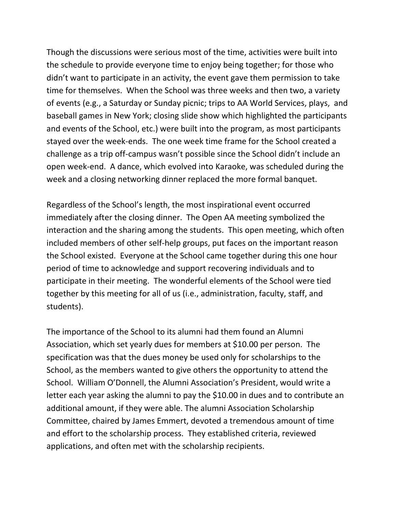Though the discussions were serious most of the time, activities were built into the schedule to provide everyone time to enjoy being together; for those who didn't want to participate in an activity, the event gave them permission to take time for themselves. When the School was three weeks and then two, a variety of events (e.g., a Saturday or Sunday picnic; trips to AA World Services, plays, and baseball games in New York; closing slide show which highlighted the participants and events of the School, etc.) were built into the program, as most participants stayed over the week-ends. The one week time frame for the School created a challenge as a trip off-campus wasn't possible since the School didn't include an open week-end. A dance, which evolved into Karaoke, was scheduled during the week and a closing networking dinner replaced the more formal banquet.

Regardless of the School's length, the most inspirational event occurred immediately after the closing dinner. The Open AA meeting symbolized the interaction and the sharing among the students. This open meeting, which often included members of other self-help groups, put faces on the important reason the School existed. Everyone at the School came together during this one hour period of time to acknowledge and support recovering individuals and to participate in their meeting. The wonderful elements of the School were tied together by this meeting for all of us (i.e., administration, faculty, staff, and students).

The importance of the School to its alumni had them found an Alumni Association, which set yearly dues for members at \$10.00 per person. The specification was that the dues money be used only for scholarships to the School, as the members wanted to give others the opportunity to attend the School. William O'Donnell, the Alumni Association's President, would write a letter each year asking the alumni to pay the \$10.00 in dues and to contribute an additional amount, if they were able. The alumni Association Scholarship Committee, chaired by James Emmert, devoted a tremendous amount of time and effort to the scholarship process. They established criteria, reviewed applications, and often met with the scholarship recipients.